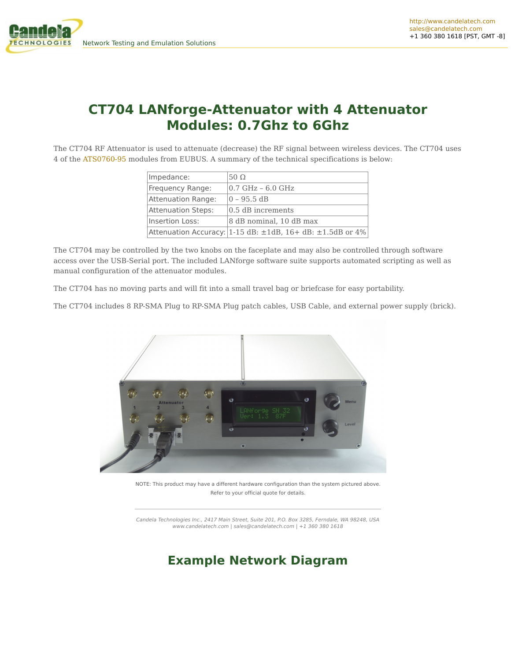



The CT704 RF Attenuator is used to attenuate (decrease) the RF signal between wireless devices. The CT704 uses 4 of the [ATS0760-95](http://ctlocal/specs/Data_ATS0760-95.pdf) modules from EUBUS. A summary of the technical specifications is below:

| Impedance:         | $50\Omega$                                                               |
|--------------------|--------------------------------------------------------------------------|
| Frequency Range:   | 0.7 GHz - 6.0 GHz                                                        |
| Attenuation Range: | 0 - 95.5 dB                                                              |
| Attenuation Steps: | 0.5 dB increments                                                        |
| Insertion Loss:    | 8 dB nominal, 10 dB max                                                  |
|                    | Attenuation Accuracy: $ 1-15$ dB: $\pm 1$ dB, 16+ dB: $\pm 1.5$ dB or 4% |

The CT704 may be controlled by the two knobs on the faceplate and may also be controlled through software access over the USB-Serial port. The included LANforge software suite supports automated scripting as well as manual configuration of the attenuator modules.

The CT704 has no moving parts and will fit into a small travel bag or briefcase for easy portability.

The CT704 includes 8 RP-SMA Plug to RP-SMA Plug patch cables, USB Cable, and external power supply (brick).



NOTE: This product may have a different hardware configuration than the system pictured above. Refer to your official quote for details.

Candela Technologies Inc., 2417 Main Street, Suite 201, P.O. Box 3285, Ferndale, WA 98248, USA www.candelatech.com | sales@candelatech.com | +1 360 380 1618

### **Example Network Diagram**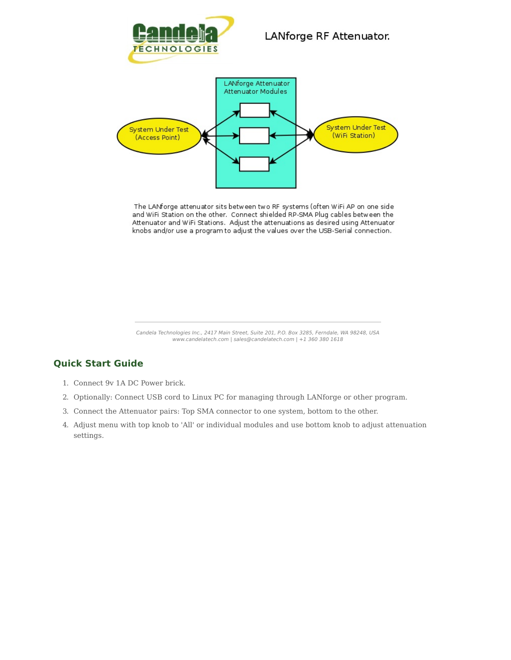



The LANforge attenuator sits between two RF systems (often WiFi AP on one side and WiFi Station on the other. Connect shielded RP-SMA Plug cables between the Attenuator and WiFi Stations. Adjust the attenuations as desired using Attenuator knobs and/or use a program to adjust the values over the USB-Serial connection.

Candela Technologies Inc., 2417 Main Street, Suite 201, P.O. Box 3285, Ferndale, WA 98248, USA www.candelatech.com | sales@candelatech.com | +1 360 380 1618

#### **Quick Start Guide**

- 1. Connect 9v 1A DC Power brick.
- 2. Optionally: Connect USB cord to Linux PC for managing through LANforge or other program.
- 3. Connect the Attenuator pairs: Top SMA connector to one system, bottom to the other.
- 4. Adjust menu with top knob to 'All' or individual modules and use bottom knob to adjust attenuation settings.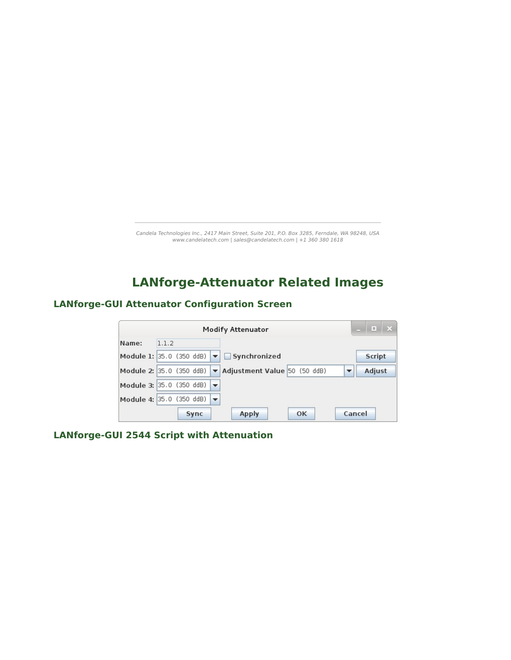Candela Technologies Inc., 2417 Main Street, Suite 201, P.O. Box 3285, Ferndale, WA 98248, USA www.candelatech.com | sales@candelatech.com | +1 360 380 1618

# **LANforge-Attenuator Related Images**

#### **LANforge-GUI Attenuator Configuration Screen**

|                                               |       |      | <b>Modify Attenuator</b>                                   | $\overline{\mathbf{X}}$<br>L.      |
|-----------------------------------------------|-------|------|------------------------------------------------------------|------------------------------------|
| Name:                                         | 1.1.2 |      |                                                            |                                    |
|                                               |       |      | Module 1: 35.0 (350 ddB) $\blacktriangledown$ Synchronized | Script                             |
| Module 2: 35.0 (350 ddB)                      |       |      | Adjustment Value 50 (50 ddB)                               | Adjust<br>$\overline{\phantom{a}}$ |
| Module 3: 35.0 (350 ddB) $\blacktriangledown$ |       |      |                                                            |                                    |
| Module 4: 35.0 (350 ddB) $\blacktriangledown$ |       |      |                                                            |                                    |
|                                               |       | Sync | <b>Apply</b><br>OK                                         | Cancel                             |

**LANforge-GUI 2544 Script with Attenuation**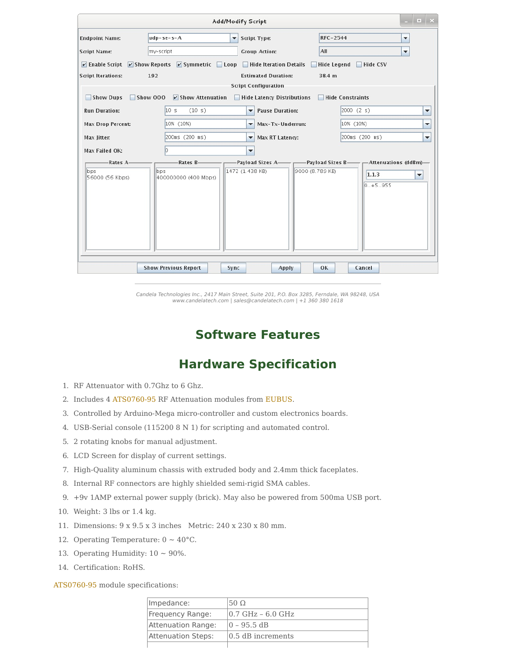|                                    |                                                                                         | <b>Add/Modify Script</b>                                  |                                | $\Box$ $\times$          |
|------------------------------------|-----------------------------------------------------------------------------------------|-----------------------------------------------------------|--------------------------------|--------------------------|
| <b>Endpoint Name:</b>              | $udp-se-s-A$                                                                            | ▼ Script Type:                                            | <b>RFC-2544</b>                | $\overline{\phantom{0}}$ |
| <b>Script Name:</b>                | my-script                                                                               | <b>Group Action:</b>                                      | AII                            | ۰                        |
|                                    | $\triangleright$ Enable Script $\triangleright$ Show Reports $\triangleright$ Symmetric | Loop Hide Iteration Details                               | <b>Hide Legend</b><br>Hide CSV |                          |
| <b>Script Iterations:</b>          | 192                                                                                     | <b>Estimated Duration:</b>                                | 38.4 m                         |                          |
| Show Dups                          | Show 000<br>$V$ Show Attenuation                                                        | <b>Script Configuration</b><br>Hide Latency Distributions | Hide Constraints               |                          |
| <b>Run Duration:</b>               | 10 <sub>s</sub><br>(10 s)                                                               | <b>Pause Duration:</b><br>$\overline{\phantom{a}}$        | 2000(2 s)                      | $\blacktriangledown$     |
| <b>Max Drop Percent:</b>           | 10% (10%)                                                                               | Max-Tx-Underrun:<br>$\overline{\phantom{a}}$              | 10% (10%)                      | ▼                        |
| Max Jitter:                        | 200ms (200 ms)                                                                          | Max RT Latency:<br>٠                                      | 200ms (200 ms)                 | $\blacktriangledown$     |
| Max Failed OK:                     | lo.                                                                                     | ▼                                                         |                                |                          |
| Rates A-<br>bps<br>56000 (56 Kbps) | Rates B-<br>bps<br>400000000 (400 Mbps)                                                 | Payload Sizes A-<br>1472 (1.438 KB)<br>9000 (8.789 KB)    | 1.1.3<br>$0.1 + 5.955$         | ▼                        |
|                                    | <b>Show Previous Report</b>                                                             | Sync<br><b>Apply</b>                                      | OK<br>Cancel                   |                          |

Candela Technologies Inc., 2417 Main Street, Suite 201, P.O. Box 3285, Ferndale, WA 98248, USA www.candelatech.com | sales@candelatech.com | +1 360 380 1618

# **Software Features**

# **Hardware Specification**

- 1. RF Attenuator with 0.7Ghz to 6 Ghz.
- 2. Includes 4 [ATS0760-95](http://ctlocal/specs/Data_ATS0760-95.pdf) RF Attenuation modules from [EUBUS](http://www.eubus.net/).
- 3. Controlled by Arduino-Mega micro-controller and custom electronics boards.
- 4. USB-Serial console (115200 8 N 1) for scripting and automated control.
- 5. 2 rotating knobs for manual adjustment.
- 6. LCD Screen for display of current settings.
- 7. High-Quality aluminum chassis with extruded body and 2.4mm thick faceplates.
- 8. Internal RF connectors are highly shielded semi-rigid SMA cables.
- 9. +9v 1AMP external power supply (brick). May also be powered from 500ma USB port.
- 10. Weight: 3 lbs or 1.4 kg.
- 11. Dimensions: 9 x 9.5 x 3 inches Metric: 240 x 230 x 80 mm.
- 12. Operating Temperature:  $0 \sim 40^{\circ}$ C.
- 13. Operating Humidity:  $10 \sim 90\%$ .
- 14. Certification: RoHS.

[ATS0760-95](http://ctlocal/specs/Data_ATS0760-95.pdf) module specifications:

| Impedance:         | 50 $\Omega$           |
|--------------------|-----------------------|
| Frequency Range:   | $10.7$ GHz $-6.0$ GHz |
| Attenuation Range: | 0 - 95.5 dB           |
| Attenuation Steps: | 0.5 dB increments     |
|                    |                       |